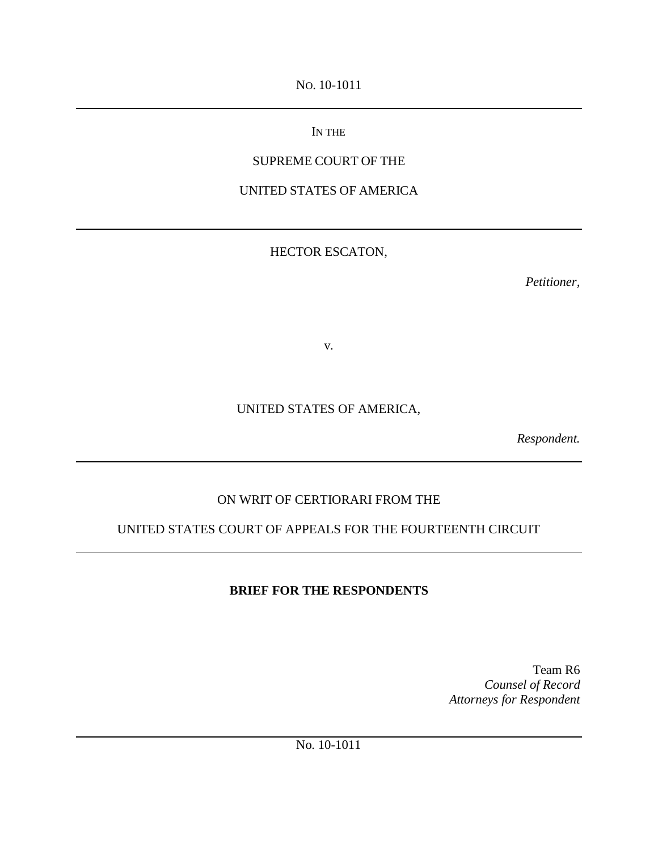NO. 10-1011

## IN THE

## SUPREME COURT OF THE

UNITED STATES OF AMERICA

## HECTOR ESCATON,

*Petitioner,*

v.

# UNITED STATES OF AMERICA,

*Respondent.*

# ON WRIT OF CERTIORARI FROM THE

# UNITED STATES COURT OF APPEALS FOR THE FOURTEENTH CIRCUIT

# **BRIEF FOR THE RESPONDENTS**

Team R6 *Counsel of Record Attorneys for Respondent*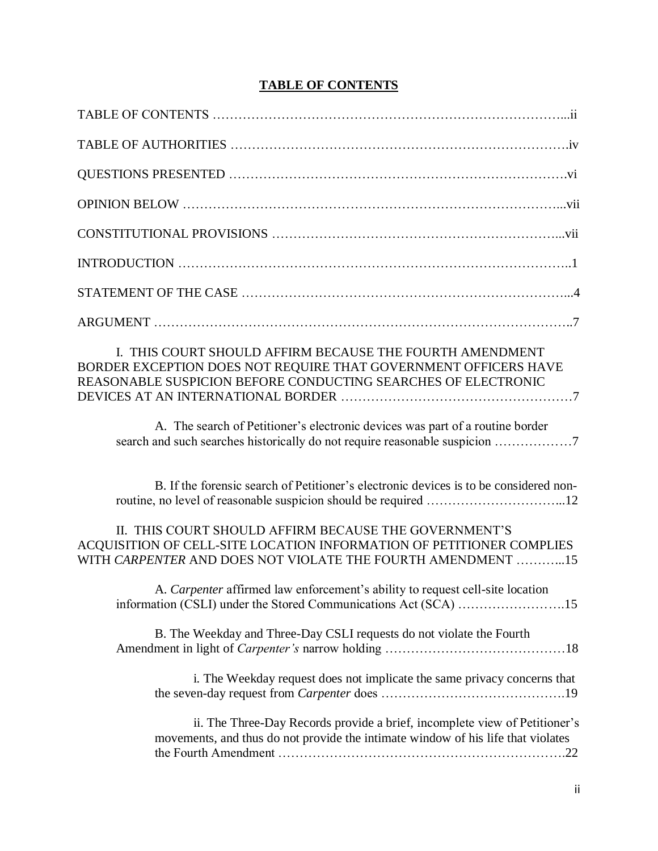## **TABLE OF CONTENTS**

| I. THIS COURT SHOULD AFFIRM BECAUSE THE FOURTH AMENDMENT<br>BORDER EXCEPTION DOES NOT REQUIRE THAT GOVERNMENT OFFICERS HAVE<br>REASONABLE SUSPICION BEFORE CONDUCTING SEARCHES OF ELECTRONIC |
|----------------------------------------------------------------------------------------------------------------------------------------------------------------------------------------------|
| A. The search of Petitioner's electronic devices was part of a routine border                                                                                                                |
| B. If the forensic search of Petitioner's electronic devices is to be considered non-                                                                                                        |
| II. THIS COURT SHOULD AFFIRM BECAUSE THE GOVERNMENT'S<br>ACQUISITION OF CELL-SITE LOCATION INFORMATION OF PETITIONER COMPLIES<br>WITH CARPENTER AND DOES NOT VIOLATE THE FOURTH AMENDMENT 15 |
| A. Carpenter affirmed law enforcement's ability to request cell-site location                                                                                                                |
| B. The Weekday and Three-Day CSLI requests do not violate the Fourth                                                                                                                         |
| i. The Weekday request does not implicate the same privacy concerns that                                                                                                                     |
| ii. The Three-Day Records provide a brief, incomplete view of Petitioner's<br>movements, and thus do not provide the intimate window of his life that violates                               |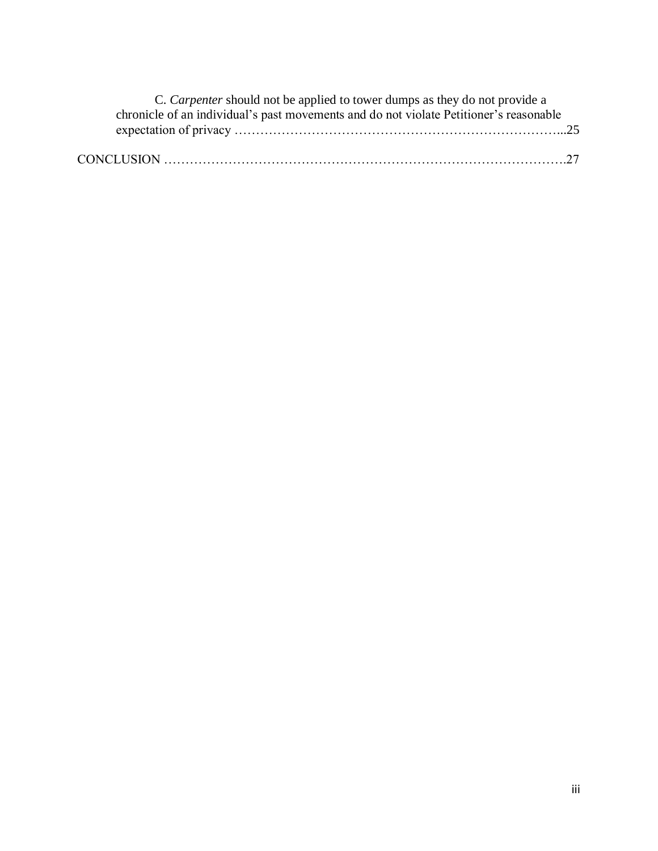| C. Carpenter should not be applied to tower dumps as they do not provide a             |  |
|----------------------------------------------------------------------------------------|--|
| chronicle of an individual's past movements and do not violate Petitioner's reasonable |  |
|                                                                                        |  |
|                                                                                        |  |
|                                                                                        |  |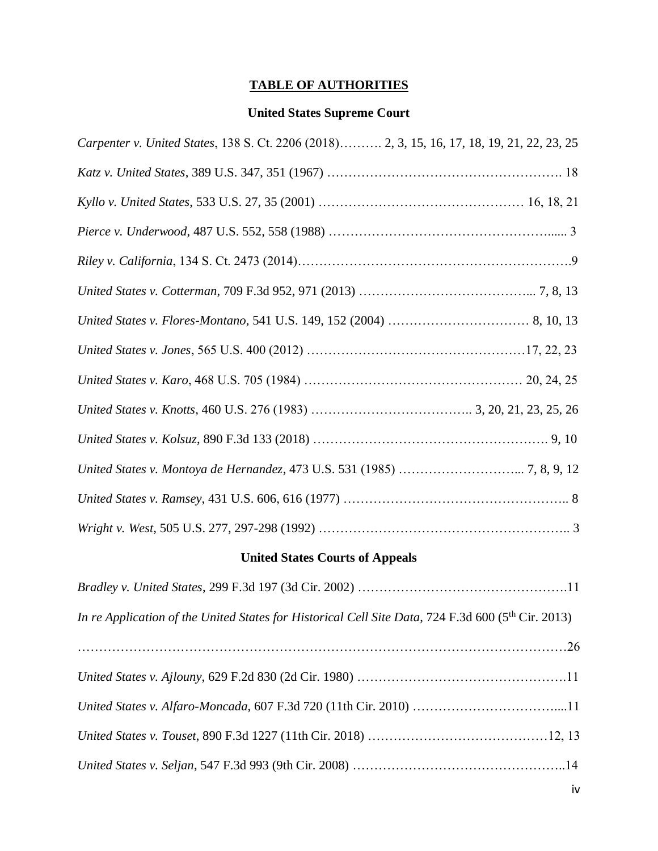# **TABLE OF AUTHORITIES**

## **United States Supreme Court**

| Carpenter v. United States, 138 S. Ct. 2206 (2018) 2, 3, 15, 16, 17, 18, 19, 21, 22, 23, 25 |
|---------------------------------------------------------------------------------------------|
|                                                                                             |
|                                                                                             |
|                                                                                             |
|                                                                                             |
|                                                                                             |
|                                                                                             |
|                                                                                             |
|                                                                                             |
|                                                                                             |
|                                                                                             |
|                                                                                             |
|                                                                                             |
|                                                                                             |

# **United States Courts of Appeals**

| In re Application of the United States for Historical Cell Site Data, 724 F.3d 600 (5th Cir. 2013) |  |
|----------------------------------------------------------------------------------------------------|--|
|                                                                                                    |  |
|                                                                                                    |  |
|                                                                                                    |  |
|                                                                                                    |  |
|                                                                                                    |  |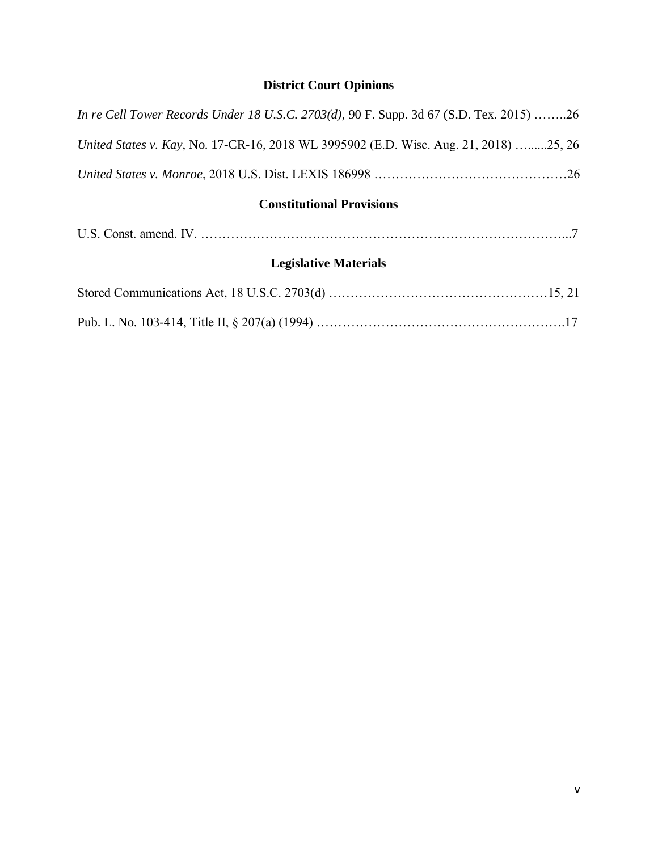# **District Court Opinions**

| <b>Constitutional Provisions</b>                                                               |  |  |  |  |  |  |
|------------------------------------------------------------------------------------------------|--|--|--|--|--|--|
|                                                                                                |  |  |  |  |  |  |
| United States v. Kay, No. 17-CR-16, 2018 WL 3995902 (E.D. Wisc. Aug. 21, 2018) 25, 26          |  |  |  |  |  |  |
| <i>In re Cell Tower Records Under 18 U.S.C. 2703(d), 90 F. Supp. 3d 67 (S.D. Tex. 2015) 26</i> |  |  |  |  |  |  |

# **Legislative Materials**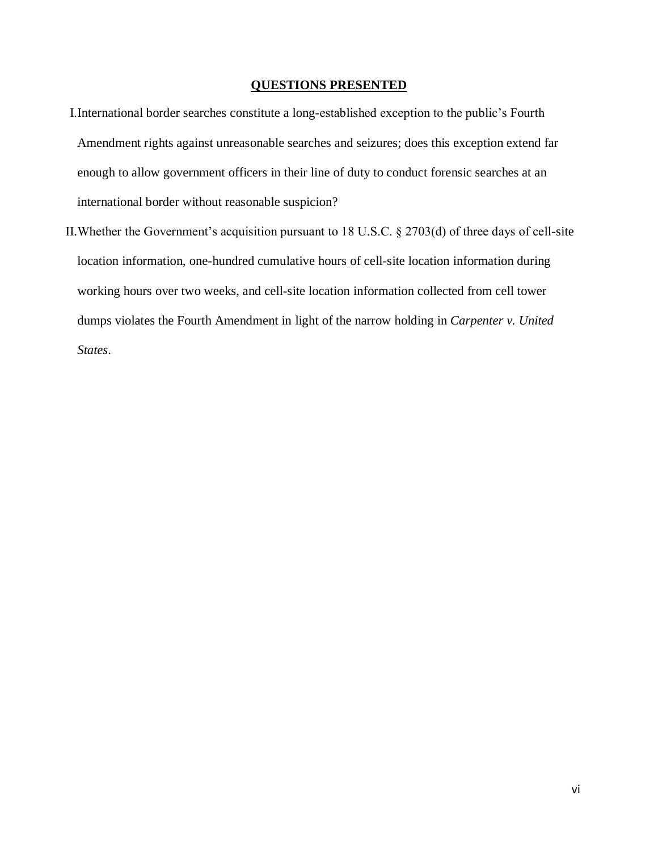### **QUESTIONS PRESENTED**

- I.International border searches constitute a long-established exception to the public's Fourth Amendment rights against unreasonable searches and seizures; does this exception extend far enough to allow government officers in their line of duty to conduct forensic searches at an international border without reasonable suspicion?
- II.Whether the Government's acquisition pursuant to 18 U.S.C. § 2703(d) of three days of cell-site location information, one-hundred cumulative hours of cell-site location information during working hours over two weeks, and cell-site location information collected from cell tower dumps violates the Fourth Amendment in light of the narrow holding in *Carpenter v. United States*.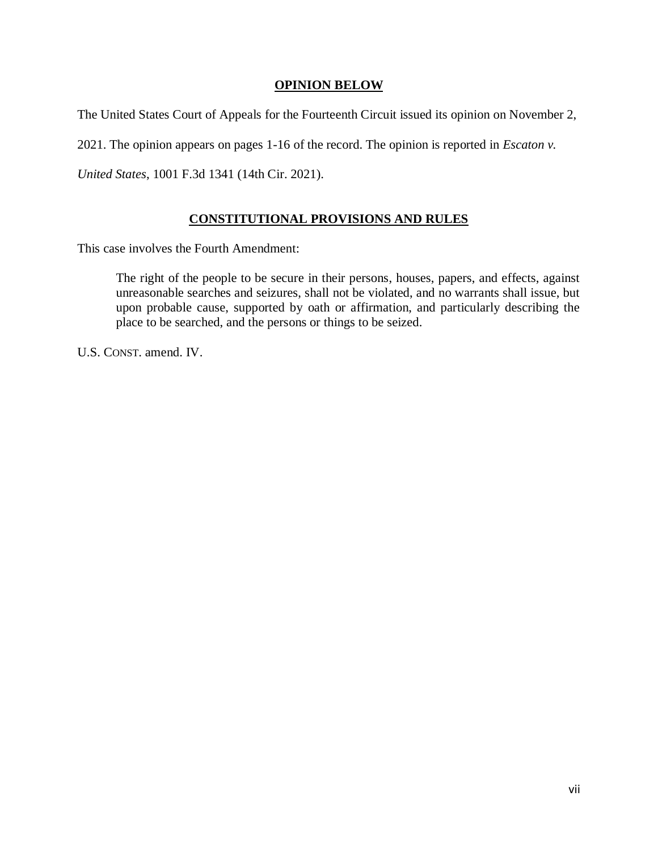### **OPINION BELOW**

The United States Court of Appeals for the Fourteenth Circuit issued its opinion on November 2,

2021. The opinion appears on pages 1-16 of the record. The opinion is reported in *Escaton v.* 

*United States*, 1001 F.3d 1341 (14th Cir. 2021).

### **CONSTITUTIONAL PROVISIONS AND RULES**

This case involves the Fourth Amendment:

The right of the people to be secure in their persons, houses, papers, and effects, against unreasonable searches and seizures, shall not be violated, and no warrants shall issue, but upon probable cause, supported by oath or affirmation, and particularly describing the place to be searched, and the persons or things to be seized.

U.S. CONST. amend. IV.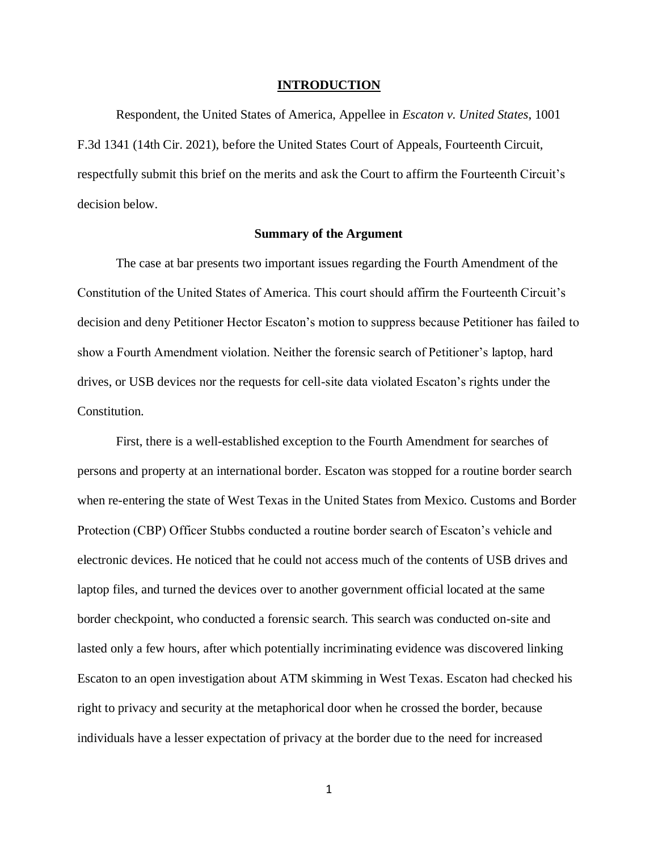#### **INTRODUCTION**

Respondent, the United States of America, Appellee in *Escaton v. United States*, 1001 F.3d 1341 (14th Cir. 2021), before the United States Court of Appeals, Fourteenth Circuit, respectfully submit this brief on the merits and ask the Court to affirm the Fourteenth Circuit's decision below.

### **Summary of the Argument**

The case at bar presents two important issues regarding the Fourth Amendment of the Constitution of the United States of America. This court should affirm the Fourteenth Circuit's decision and deny Petitioner Hector Escaton's motion to suppress because Petitioner has failed to show a Fourth Amendment violation. Neither the forensic search of Petitioner's laptop, hard drives, or USB devices nor the requests for cell-site data violated Escaton's rights under the Constitution.

First, there is a well-established exception to the Fourth Amendment for searches of persons and property at an international border. Escaton was stopped for a routine border search when re-entering the state of West Texas in the United States from Mexico. Customs and Border Protection (CBP) Officer Stubbs conducted a routine border search of Escaton's vehicle and electronic devices. He noticed that he could not access much of the contents of USB drives and laptop files, and turned the devices over to another government official located at the same border checkpoint, who conducted a forensic search. This search was conducted on-site and lasted only a few hours, after which potentially incriminating evidence was discovered linking Escaton to an open investigation about ATM skimming in West Texas. Escaton had checked his right to privacy and security at the metaphorical door when he crossed the border, because individuals have a lesser expectation of privacy at the border due to the need for increased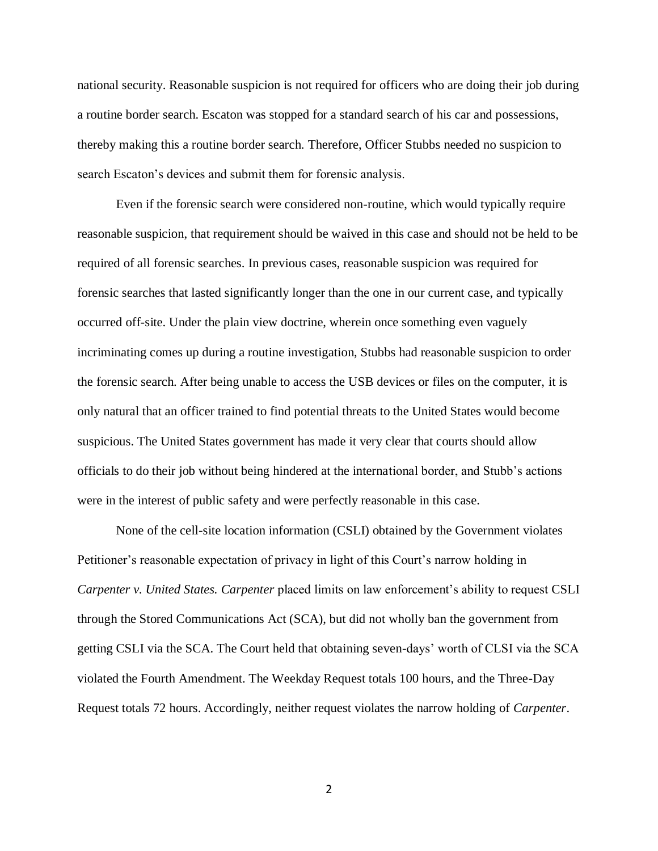national security. Reasonable suspicion is not required for officers who are doing their job during a routine border search. Escaton was stopped for a standard search of his car and possessions, thereby making this a routine border search. Therefore, Officer Stubbs needed no suspicion to search Escaton's devices and submit them for forensic analysis.

Even if the forensic search were considered non-routine, which would typically require reasonable suspicion, that requirement should be waived in this case and should not be held to be required of all forensic searches. In previous cases, reasonable suspicion was required for forensic searches that lasted significantly longer than the one in our current case, and typically occurred off-site. Under the plain view doctrine, wherein once something even vaguely incriminating comes up during a routine investigation, Stubbs had reasonable suspicion to order the forensic search. After being unable to access the USB devices or files on the computer, it is only natural that an officer trained to find potential threats to the United States would become suspicious. The United States government has made it very clear that courts should allow officials to do their job without being hindered at the international border, and Stubb's actions were in the interest of public safety and were perfectly reasonable in this case.

None of the cell-site location information (CSLI) obtained by the Government violates Petitioner's reasonable expectation of privacy in light of this Court's narrow holding in *Carpenter v. United States. Carpenter* placed limits on law enforcement's ability to request CSLI through the Stored Communications Act (SCA), but did not wholly ban the government from getting CSLI via the SCA. The Court held that obtaining seven-days' worth of CLSI via the SCA violated the Fourth Amendment. The Weekday Request totals 100 hours, and the Three-Day Request totals 72 hours. Accordingly, neither request violates the narrow holding of *Carpenter*.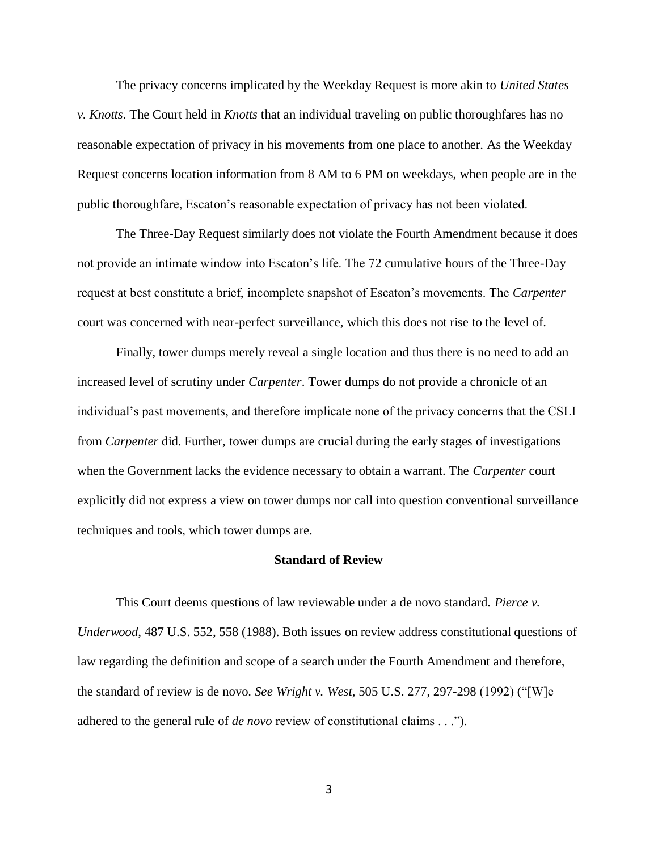The privacy concerns implicated by the Weekday Request is more akin to *United States v. Knotts*. The Court held in *Knotts* that an individual traveling on public thoroughfares has no reasonable expectation of privacy in his movements from one place to another. As the Weekday Request concerns location information from 8 AM to 6 PM on weekdays, when people are in the public thoroughfare, Escaton's reasonable expectation of privacy has not been violated.

The Three-Day Request similarly does not violate the Fourth Amendment because it does not provide an intimate window into Escaton's life. The 72 cumulative hours of the Three-Day request at best constitute a brief, incomplete snapshot of Escaton's movements. The *Carpenter* court was concerned with near-perfect surveillance, which this does not rise to the level of.

Finally, tower dumps merely reveal a single location and thus there is no need to add an increased level of scrutiny under *Carpenter*. Tower dumps do not provide a chronicle of an individual's past movements, and therefore implicate none of the privacy concerns that the CSLI from *Carpenter* did. Further, tower dumps are crucial during the early stages of investigations when the Government lacks the evidence necessary to obtain a warrant. The *Carpenter* court explicitly did not express a view on tower dumps nor call into question conventional surveillance techniques and tools, which tower dumps are.

#### **Standard of Review**

This Court deems questions of law reviewable under a de novo standard. *Pierce v. Underwood*, 487 U.S. 552, 558 (1988). Both issues on review address constitutional questions of law regarding the definition and scope of a search under the Fourth Amendment and therefore, the standard of review is de novo. *See Wright v. West*, 505 U.S. 277, 297-298 (1992) ("[W]e adhered to the general rule of *de novo* review of constitutional claims . . .").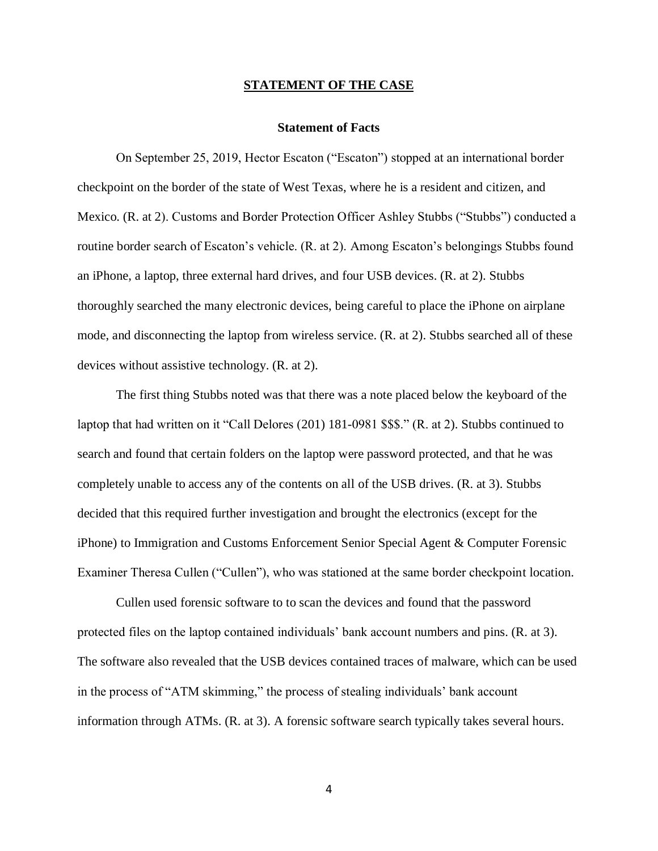#### **STATEMENT OF THE CASE**

#### **Statement of Facts**

On September 25, 2019, Hector Escaton ("Escaton") stopped at an international border checkpoint on the border of the state of West Texas, where he is a resident and citizen, and Mexico. (R. at 2). Customs and Border Protection Officer Ashley Stubbs ("Stubbs") conducted a routine border search of Escaton's vehicle. (R. at 2). Among Escaton's belongings Stubbs found an iPhone, a laptop, three external hard drives, and four USB devices. (R. at 2). Stubbs thoroughly searched the many electronic devices, being careful to place the iPhone on airplane mode, and disconnecting the laptop from wireless service. (R. at 2). Stubbs searched all of these devices without assistive technology. (R. at 2).

The first thing Stubbs noted was that there was a note placed below the keyboard of the laptop that had written on it "Call Delores (201) 181-0981 \$\$\$." (R. at 2). Stubbs continued to search and found that certain folders on the laptop were password protected, and that he was completely unable to access any of the contents on all of the USB drives. (R. at 3). Stubbs decided that this required further investigation and brought the electronics (except for the iPhone) to Immigration and Customs Enforcement Senior Special Agent & Computer Forensic Examiner Theresa Cullen ("Cullen"), who was stationed at the same border checkpoint location.

Cullen used forensic software to to scan the devices and found that the password protected files on the laptop contained individuals' bank account numbers and pins. (R. at 3). The software also revealed that the USB devices contained traces of malware, which can be used in the process of "ATM skimming," the process of stealing individuals' bank account information through ATMs. (R. at 3). A forensic software search typically takes several hours.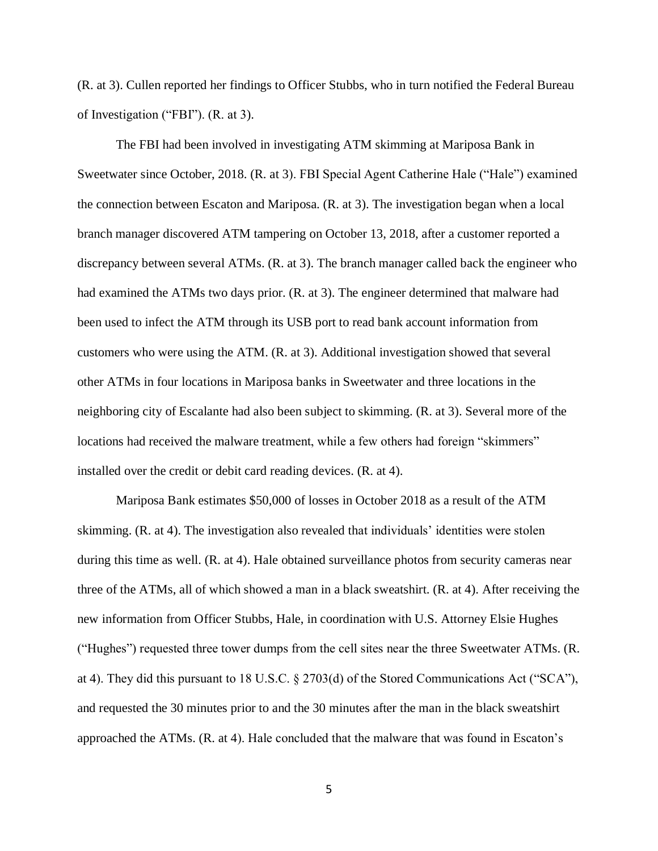(R. at 3). Cullen reported her findings to Officer Stubbs, who in turn notified the Federal Bureau of Investigation ("FBI"). (R. at 3).

The FBI had been involved in investigating ATM skimming at Mariposa Bank in Sweetwater since October, 2018. (R. at 3). FBI Special Agent Catherine Hale ("Hale") examined the connection between Escaton and Mariposa. (R. at 3). The investigation began when a local branch manager discovered ATM tampering on October 13, 2018, after a customer reported a discrepancy between several ATMs. (R. at 3). The branch manager called back the engineer who had examined the ATMs two days prior. (R. at 3). The engineer determined that malware had been used to infect the ATM through its USB port to read bank account information from customers who were using the ATM. (R. at 3). Additional investigation showed that several other ATMs in four locations in Mariposa banks in Sweetwater and three locations in the neighboring city of Escalante had also been subject to skimming. (R. at 3). Several more of the locations had received the malware treatment, while a few others had foreign "skimmers" installed over the credit or debit card reading devices. (R. at 4).

Mariposa Bank estimates \$50,000 of losses in October 2018 as a result of the ATM skimming. (R. at 4). The investigation also revealed that individuals' identities were stolen during this time as well. (R. at 4). Hale obtained surveillance photos from security cameras near three of the ATMs, all of which showed a man in a black sweatshirt. (R. at 4). After receiving the new information from Officer Stubbs, Hale, in coordination with U.S. Attorney Elsie Hughes ("Hughes") requested three tower dumps from the cell sites near the three Sweetwater ATMs. (R. at 4). They did this pursuant to 18 U.S.C. § 2703(d) of the Stored Communications Act ("SCA"), and requested the 30 minutes prior to and the 30 minutes after the man in the black sweatshirt approached the ATMs. (R. at 4). Hale concluded that the malware that was found in Escaton's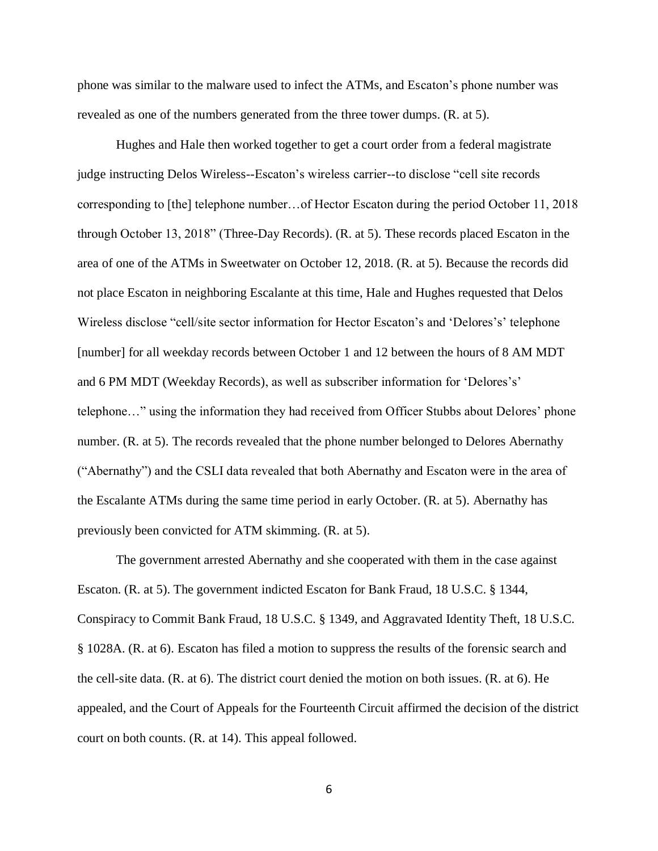phone was similar to the malware used to infect the ATMs, and Escaton's phone number was revealed as one of the numbers generated from the three tower dumps. (R. at 5).

Hughes and Hale then worked together to get a court order from a federal magistrate judge instructing Delos Wireless--Escaton's wireless carrier--to disclose "cell site records corresponding to [the] telephone number…of Hector Escaton during the period October 11, 2018 through October 13, 2018" (Three-Day Records). (R. at 5). These records placed Escaton in the area of one of the ATMs in Sweetwater on October 12, 2018. (R. at 5). Because the records did not place Escaton in neighboring Escalante at this time, Hale and Hughes requested that Delos Wireless disclose "cell/site sector information for Hector Escaton's and 'Delores's' telephone [number] for all weekday records between October 1 and 12 between the hours of 8 AM MDT and 6 PM MDT (Weekday Records), as well as subscriber information for 'Delores's' telephone…" using the information they had received from Officer Stubbs about Delores' phone number. (R. at 5). The records revealed that the phone number belonged to Delores Abernathy ("Abernathy") and the CSLI data revealed that both Abernathy and Escaton were in the area of the Escalante ATMs during the same time period in early October. (R. at 5). Abernathy has previously been convicted for ATM skimming. (R. at 5).

The government arrested Abernathy and she cooperated with them in the case against Escaton. (R. at 5). The government indicted Escaton for Bank Fraud, 18 U.S.C. § 1344, Conspiracy to Commit Bank Fraud, 18 U.S.C. § 1349, and Aggravated Identity Theft, 18 U.S.C. § 1028A. (R. at 6). Escaton has filed a motion to suppress the results of the forensic search and the cell-site data. (R. at 6). The district court denied the motion on both issues. (R. at 6). He appealed, and the Court of Appeals for the Fourteenth Circuit affirmed the decision of the district court on both counts. (R. at 14). This appeal followed.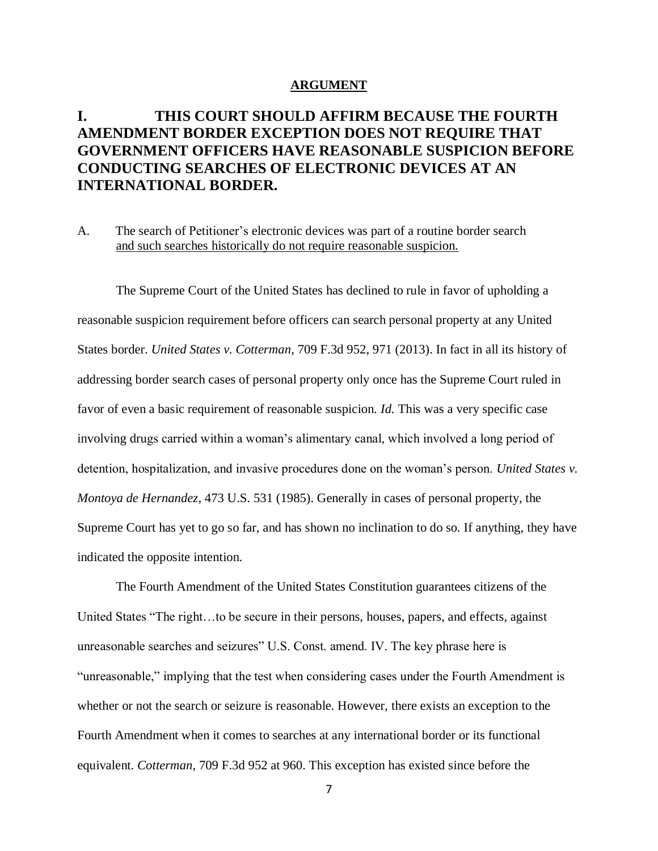#### **ARGUMENT**

## **I. THIS COURT SHOULD AFFIRM BECAUSE THE FOURTH AMENDMENT BORDER EXCEPTION DOES NOT REQUIRE THAT GOVERNMENT OFFICERS HAVE REASONABLE SUSPICION BEFORE CONDUCTING SEARCHES OF ELECTRONIC DEVICES AT AN INTERNATIONAL BORDER.**

### A. The search of Petitioner's electronic devices was part of a routine border search and such searches historically do not require reasonable suspicion.

The Supreme Court of the United States has declined to rule in favor of upholding a reasonable suspicion requirement before officers can search personal property at any United States border. *United States v. Cotterman*, 709 F.3d 952, 971 (2013). In fact in all its history of addressing border search cases of personal property only once has the Supreme Court ruled in favor of even a basic requirement of reasonable suspicion. *Id.* This was a very specific case involving drugs carried within a woman's alimentary canal, which involved a long period of detention, hospitalization, and invasive procedures done on the woman's person. *United States v. Montoya de Hernandez*, 473 U.S. 531 (1985). Generally in cases of personal property, the Supreme Court has yet to go so far, and has shown no inclination to do so. If anything, they have indicated the opposite intention.

The Fourth Amendment of the United States Constitution guarantees citizens of the United States "The right...to be secure in their persons, houses, papers, and effects, against unreasonable searches and seizures" U.S. Const. amend. IV. The key phrase here is "unreasonable," implying that the test when considering cases under the Fourth Amendment is whether or not the search or seizure is reasonable. However, there exists an exception to the Fourth Amendment when it comes to searches at any international border or its functional equivalent. *Cotterman*, 709 F.3d 952 at 960. This exception has existed since before the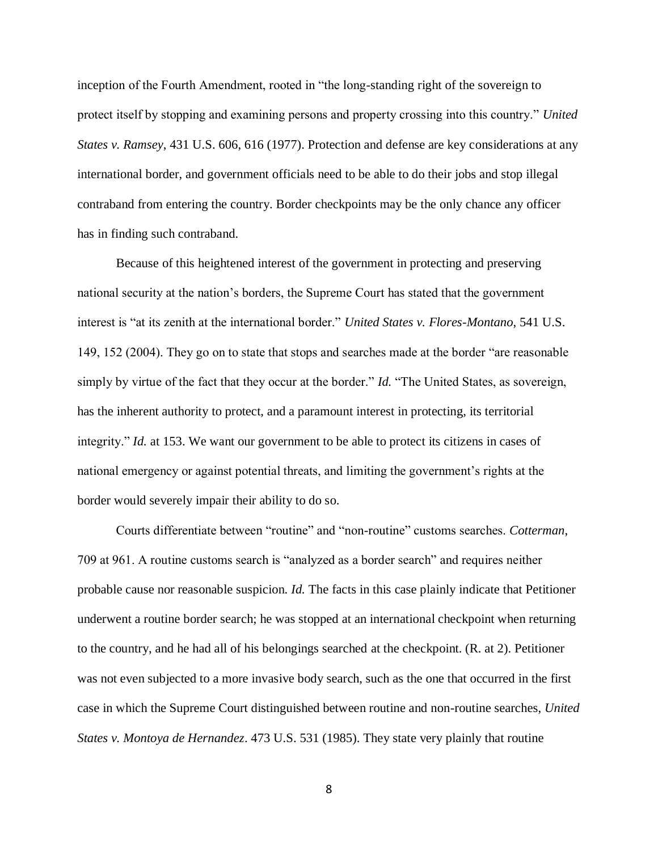inception of the Fourth Amendment, rooted in "the long-standing right of the sovereign to protect itself by stopping and examining persons and property crossing into this country." *United States v. Ramsey*, 431 U.S. 606, 616 (1977). Protection and defense are key considerations at any international border, and government officials need to be able to do their jobs and stop illegal contraband from entering the country. Border checkpoints may be the only chance any officer has in finding such contraband.

Because of this heightened interest of the government in protecting and preserving national security at the nation's borders, the Supreme Court has stated that the government interest is "at its zenith at the international border." *United States v. Flores-Montano*, 541 U.S. 149, 152 (2004). They go on to state that stops and searches made at the border "are reasonable simply by virtue of the fact that they occur at the border." *Id.* "The United States, as sovereign, has the inherent authority to protect, and a paramount interest in protecting, its territorial integrity." *Id.* at 153. We want our government to be able to protect its citizens in cases of national emergency or against potential threats, and limiting the government's rights at the border would severely impair their ability to do so.

Courts differentiate between "routine" and "non-routine" customs searches. *Cotterman*, 709 at 961. A routine customs search is "analyzed as a border search" and requires neither probable cause nor reasonable suspicion. *Id.* The facts in this case plainly indicate that Petitioner underwent a routine border search; he was stopped at an international checkpoint when returning to the country, and he had all of his belongings searched at the checkpoint. (R. at 2). Petitioner was not even subjected to a more invasive body search, such as the one that occurred in the first case in which the Supreme Court distinguished between routine and non-routine searches, *United States v. Montoya de Hernandez*. 473 U.S. 531 (1985). They state very plainly that routine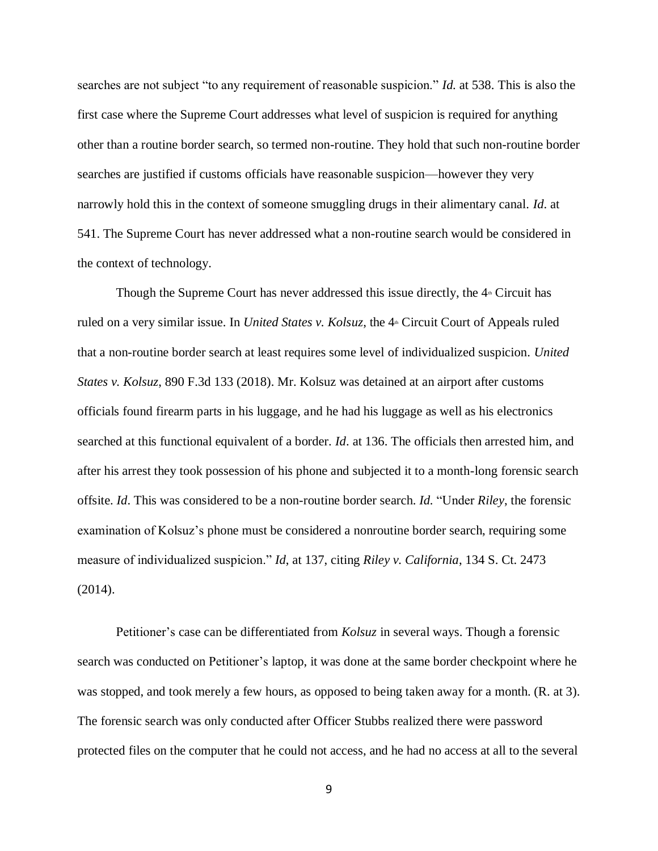searches are not subject "to any requirement of reasonable suspicion." *Id.* at 538. This is also the first case where the Supreme Court addresses what level of suspicion is required for anything other than a routine border search, so termed non-routine. They hold that such non-routine border searches are justified if customs officials have reasonable suspicion—however they very narrowly hold this in the context of someone smuggling drugs in their alimentary canal. *Id*. at 541. The Supreme Court has never addressed what a non-routine search would be considered in the context of technology.

Though the Supreme Court has never addressed this issue directly, the  $4<sup>th</sup>$  Circuit has ruled on a very similar issue. In *United States v. Kolsuz*, the 4<sup>th</sup> Circuit Court of Appeals ruled that a non-routine border search at least requires some level of individualized suspicion. *United States v. Kolsuz*, 890 F.3d 133 (2018). Mr. Kolsuz was detained at an airport after customs officials found firearm parts in his luggage, and he had his luggage as well as his electronics searched at this functional equivalent of a border. *Id*. at 136. The officials then arrested him, and after his arrest they took possession of his phone and subjected it to a month-long forensic search offsite. *Id*. This was considered to be a non-routine border search. *Id.* "Under *Riley*, the forensic examination of Kolsuz's phone must be considered a nonroutine border search, requiring some measure of individualized suspicion." *Id*, at 137, citing *Riley v. California*, 134 S. Ct. 2473 (2014).

Petitioner's case can be differentiated from *Kolsuz* in several ways. Though a forensic search was conducted on Petitioner's laptop, it was done at the same border checkpoint where he was stopped, and took merely a few hours, as opposed to being taken away for a month. (R. at 3). The forensic search was only conducted after Officer Stubbs realized there were password protected files on the computer that he could not access, and he had no access at all to the several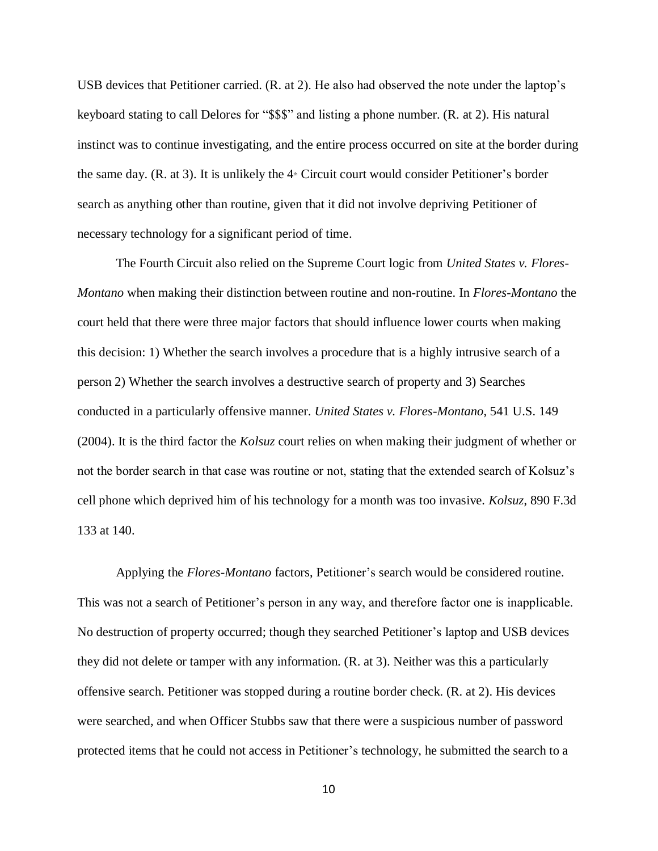USB devices that Petitioner carried. (R. at 2). He also had observed the note under the laptop's keyboard stating to call Delores for "\$\$\$" and listing a phone number. (R. at 2). His natural instinct was to continue investigating, and the entire process occurred on site at the border during the same day. (R. at 3). It is unlikely the  $4<sup>th</sup>$  Circuit court would consider Petitioner's border search as anything other than routine, given that it did not involve depriving Petitioner of necessary technology for a significant period of time.

The Fourth Circuit also relied on the Supreme Court logic from *United States v. Flores-Montano* when making their distinction between routine and non-routine. In *Flores-Montano* the court held that there were three major factors that should influence lower courts when making this decision: 1) Whether the search involves a procedure that is a highly intrusive search of a person 2) Whether the search involves a destructive search of property and 3) Searches conducted in a particularly offensive manner. *United States v. Flores-Montano*, 541 U.S. 149 (2004). It is the third factor the *Kolsuz* court relies on when making their judgment of whether or not the border search in that case was routine or not, stating that the extended search of Kolsuz's cell phone which deprived him of his technology for a month was too invasive. *Kolsuz*, 890 F.3d 133 at 140.

Applying the *Flores-Montano* factors, Petitioner's search would be considered routine. This was not a search of Petitioner's person in any way, and therefore factor one is inapplicable. No destruction of property occurred; though they searched Petitioner's laptop and USB devices they did not delete or tamper with any information. (R. at 3). Neither was this a particularly offensive search. Petitioner was stopped during a routine border check. (R. at 2). His devices were searched, and when Officer Stubbs saw that there were a suspicious number of password protected items that he could not access in Petitioner's technology, he submitted the search to a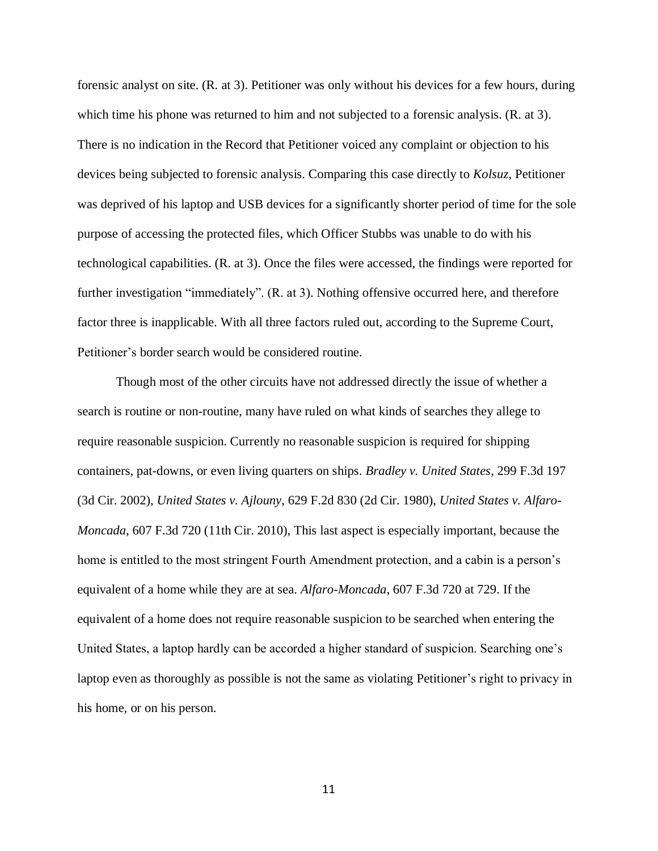forensic analyst on site. (R. at 3). Petitioner was only without his devices for a few hours, during which time his phone was returned to him and not subjected to a forensic analysis. (R. at 3). There is no indication in the Record that Petitioner voiced any complaint or objection to his devices being subjected to forensic analysis. Comparing this case directly to *Kolsuz*, Petitioner was deprived of his laptop and USB devices for a significantly shorter period of time for the sole purpose of accessing the protected files, which Officer Stubbs was unable to do with his technological capabilities. (R. at 3). Once the files were accessed, the findings were reported for further investigation "immediately". (R. at 3). Nothing offensive occurred here, and therefore factor three is inapplicable. With all three factors ruled out, according to the Supreme Court, Petitioner's border search would be considered routine.

Though most of the other circuits have not addressed directly the issue of whether a search is routine or non-routine, many have ruled on what kinds of searches they allege to require reasonable suspicion. Currently no reasonable suspicion is required for shipping containers, pat-downs, or even living quarters on ships. *Bradley v. United States*, 299 F.3d 197 (3d Cir. 2002), *United States v. Ajlouny*, 629 F.2d 830 (2d Cir. 1980), *United States v. Alfaro-Moncada*, 607 F.3d 720 (11th Cir. 2010), This last aspect is especially important, because the home is entitled to the most stringent Fourth Amendment protection, and a cabin is a person's equivalent of a home while they are at sea. *Alfaro-Moncada*, 607 F.3d 720 at 729. If the equivalent of a home does not require reasonable suspicion to be searched when entering the United States, a laptop hardly can be accorded a higher standard of suspicion. Searching one's laptop even as thoroughly as possible is not the same as violating Petitioner's right to privacy in his home, or on his person.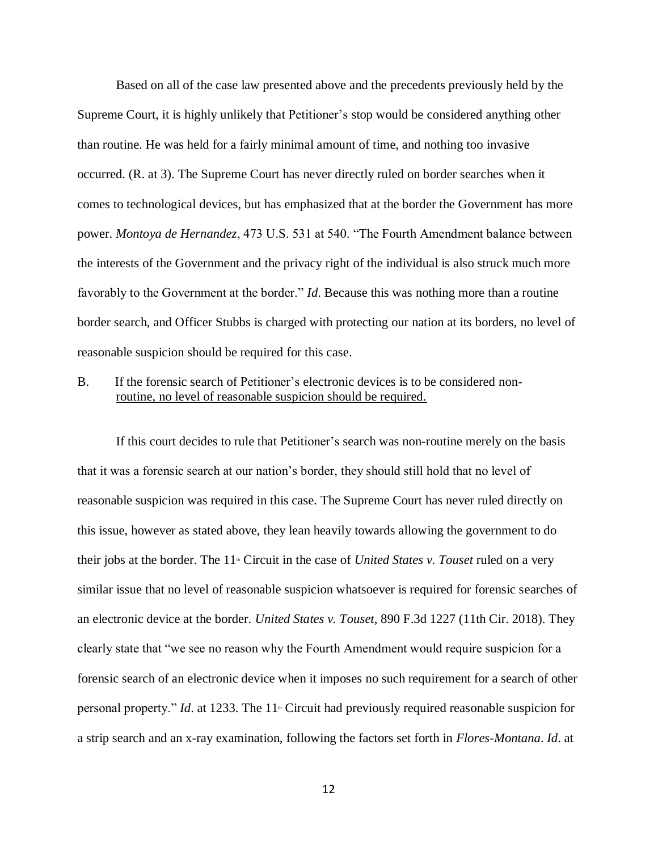Based on all of the case law presented above and the precedents previously held by the Supreme Court, it is highly unlikely that Petitioner's stop would be considered anything other than routine. He was held for a fairly minimal amount of time, and nothing too invasive occurred. (R. at 3). The Supreme Court has never directly ruled on border searches when it comes to technological devices, but has emphasized that at the border the Government has more power. *Montoya de Hernandez*, 473 U.S. 531 at 540. "The Fourth Amendment balance between the interests of the Government and the privacy right of the individual is also struck much more favorably to the Government at the border." *Id*. Because this was nothing more than a routine border search, and Officer Stubbs is charged with protecting our nation at its borders, no level of reasonable suspicion should be required for this case.

B. If the forensic search of Petitioner's electronic devices is to be considered nonroutine, no level of reasonable suspicion should be required.

If this court decides to rule that Petitioner's search was non-routine merely on the basis that it was a forensic search at our nation's border, they should still hold that no level of reasonable suspicion was required in this case. The Supreme Court has never ruled directly on this issue, however as stated above, they lean heavily towards allowing the government to do their jobs at the border. The 11<sup>th</sup> Circuit in the case of *United States v. Touset* ruled on a very similar issue that no level of reasonable suspicion whatsoever is required for forensic searches of an electronic device at the border. *United States v. Touset*, 890 F.3d 1227 (11th Cir. 2018). They clearly state that "we see no reason why the Fourth Amendment would require suspicion for a forensic search of an electronic device when it imposes no such requirement for a search of other personal property." *Id.* at 1233. The 11<sup>th</sup> Circuit had previously required reasonable suspicion for a strip search and an x-ray examination, following the factors set forth in *Flores-Montana*. *Id*. at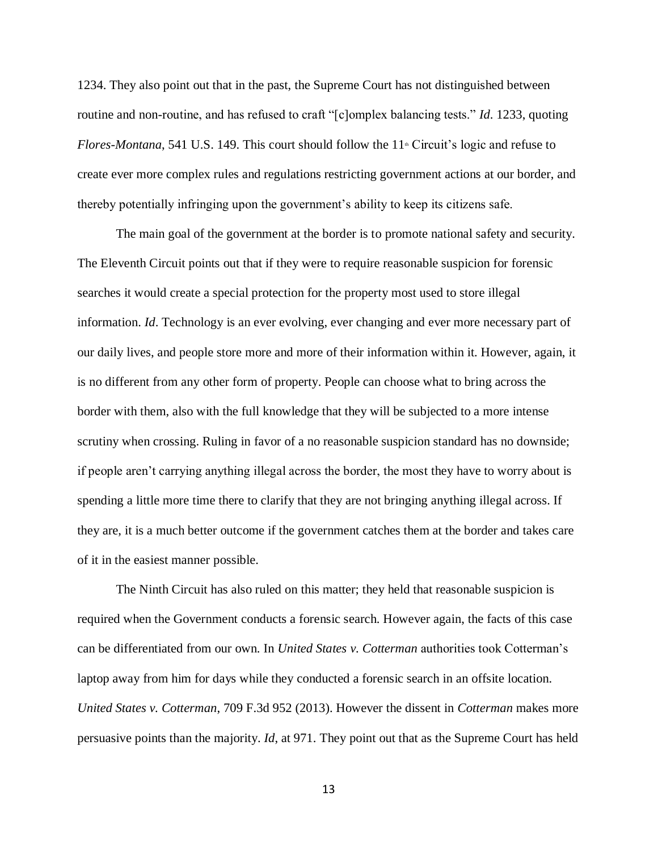1234. They also point out that in the past, the Supreme Court has not distinguished between routine and non-routine, and has refused to craft "[c]omplex balancing tests." *Id*. 1233, quoting *Flores-Montana*, 541 U.S. 149. This court should follow the 11<sup>th</sup> Circuit's logic and refuse to create ever more complex rules and regulations restricting government actions at our border, and thereby potentially infringing upon the government's ability to keep its citizens safe.

 The main goal of the government at the border is to promote national safety and security. The Eleventh Circuit points out that if they were to require reasonable suspicion for forensic searches it would create a special protection for the property most used to store illegal information. *Id*. Technology is an ever evolving, ever changing and ever more necessary part of our daily lives, and people store more and more of their information within it. However, again, it is no different from any other form of property. People can choose what to bring across the border with them, also with the full knowledge that they will be subjected to a more intense scrutiny when crossing. Ruling in favor of a no reasonable suspicion standard has no downside; if people aren't carrying anything illegal across the border, the most they have to worry about is spending a little more time there to clarify that they are not bringing anything illegal across. If they are, it is a much better outcome if the government catches them at the border and takes care of it in the easiest manner possible.

 The Ninth Circuit has also ruled on this matter; they held that reasonable suspicion is required when the Government conducts a forensic search. However again, the facts of this case can be differentiated from our own. In *United States v. Cotterman* authorities took Cotterman's laptop away from him for days while they conducted a forensic search in an offsite location. *United States v. Cotterman*, 709 F.3d 952 (2013). However the dissent in *Cotterman* makes more persuasive points than the majority. *Id*, at 971. They point out that as the Supreme Court has held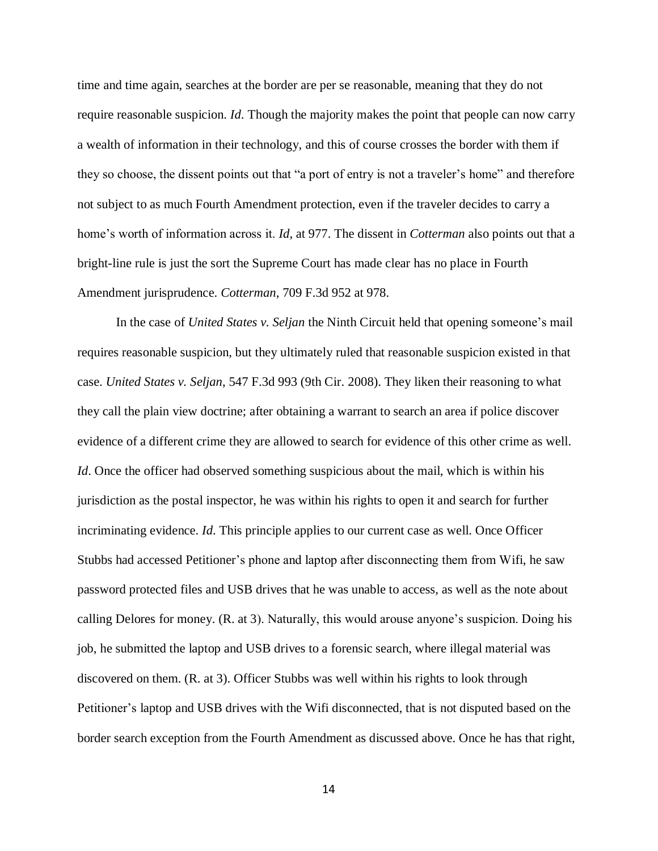time and time again, searches at the border are per se reasonable, meaning that they do not require reasonable suspicion. *Id*. Though the majority makes the point that people can now carry a wealth of information in their technology, and this of course crosses the border with them if they so choose, the dissent points out that "a port of entry is not a traveler's home" and therefore not subject to as much Fourth Amendment protection, even if the traveler decides to carry a home's worth of information across it. *Id*, at 977. The dissent in *Cotterman* also points out that a bright-line rule is just the sort the Supreme Court has made clear has no place in Fourth Amendment jurisprudence. *Cotterman*, 709 F.3d 952 at 978.

 In the case of *United States v. Seljan* the Ninth Circuit held that opening someone's mail requires reasonable suspicion, but they ultimately ruled that reasonable suspicion existed in that case. *United States v. Seljan*, 547 F.3d 993 (9th Cir. 2008). They liken their reasoning to what they call the plain view doctrine; after obtaining a warrant to search an area if police discover evidence of a different crime they are allowed to search for evidence of this other crime as well. *Id*. Once the officer had observed something suspicious about the mail, which is within his jurisdiction as the postal inspector, he was within his rights to open it and search for further incriminating evidence. *Id*. This principle applies to our current case as well. Once Officer Stubbs had accessed Petitioner's phone and laptop after disconnecting them from Wifi, he saw password protected files and USB drives that he was unable to access, as well as the note about calling Delores for money. (R. at 3). Naturally, this would arouse anyone's suspicion. Doing his job, he submitted the laptop and USB drives to a forensic search, where illegal material was discovered on them. (R. at 3). Officer Stubbs was well within his rights to look through Petitioner's laptop and USB drives with the Wifi disconnected, that is not disputed based on the border search exception from the Fourth Amendment as discussed above. Once he has that right,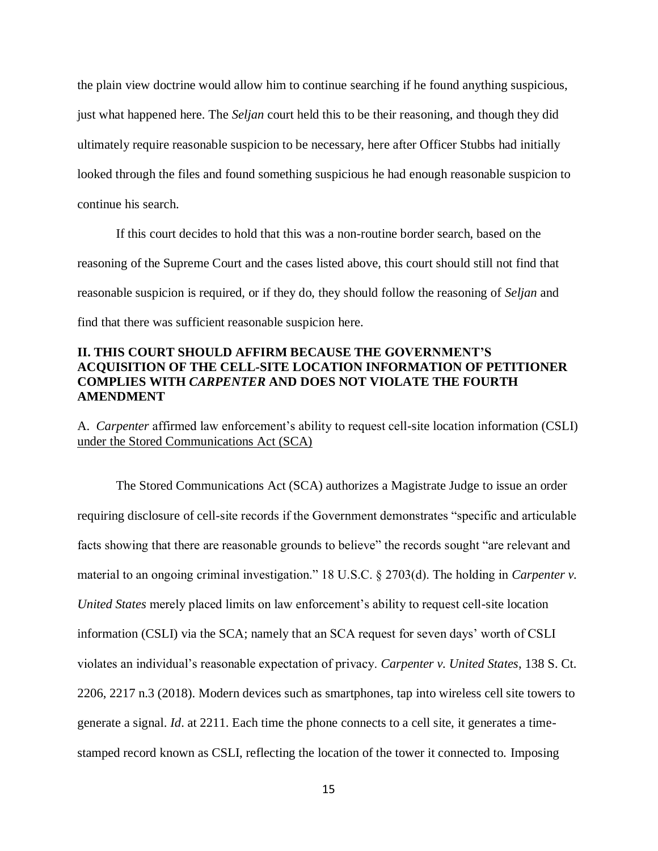the plain view doctrine would allow him to continue searching if he found anything suspicious, just what happened here. The *Seljan* court held this to be their reasoning, and though they did ultimately require reasonable suspicion to be necessary, here after Officer Stubbs had initially looked through the files and found something suspicious he had enough reasonable suspicion to continue his search.

 If this court decides to hold that this was a non-routine border search, based on the reasoning of the Supreme Court and the cases listed above, this court should still not find that reasonable suspicion is required, or if they do, they should follow the reasoning of *Seljan* and find that there was sufficient reasonable suspicion here.

### **II. THIS COURT SHOULD AFFIRM BECAUSE THE GOVERNMENT'S ACQUISITION OF THE CELL-SITE LOCATION INFORMATION OF PETITIONER COMPLIES WITH** *CARPENTER* **AND DOES NOT VIOLATE THE FOURTH AMENDMENT**

A. *Carpenter* affirmed law enforcement's ability to request cell-site location information (CSLI) under the Stored Communications Act (SCA)

The Stored Communications Act (SCA) authorizes a Magistrate Judge to issue an order requiring disclosure of cell-site records if the Government demonstrates "specific and articulable facts showing that there are reasonable grounds to believe" the records sought "are relevant and material to an ongoing criminal investigation." 18 U.S.C. § 2703(d). The holding in *Carpenter v. United States* merely placed limits on law enforcement's ability to request cell-site location information (CSLI) via the SCA; namely that an SCA request for seven days' worth of CSLI violates an individual's reasonable expectation of privacy. *Carpenter v. United States*, 138 S. Ct. 2206, 2217 n.3 (2018). Modern devices such as smartphones, tap into wireless cell site towers to generate a signal. *Id*. at 2211. Each time the phone connects to a cell site, it generates a timestamped record known as CSLI, reflecting the location of the tower it connected to. Imposing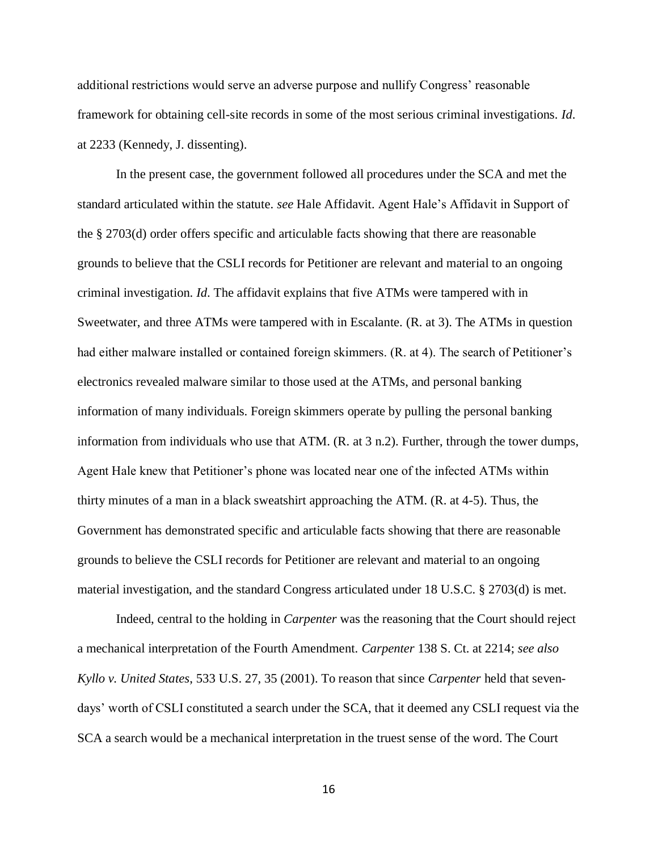additional restrictions would serve an adverse purpose and nullify Congress' reasonable framework for obtaining cell-site records in some of the most serious criminal investigations. *Id*. at 2233 (Kennedy, J. dissenting).

In the present case, the government followed all procedures under the SCA and met the standard articulated within the statute. *see* Hale Affidavit. Agent Hale's Affidavit in Support of the § 2703(d) order offers specific and articulable facts showing that there are reasonable grounds to believe that the CSLI records for Petitioner are relevant and material to an ongoing criminal investigation. *Id*. The affidavit explains that five ATMs were tampered with in Sweetwater, and three ATMs were tampered with in Escalante. (R. at 3). The ATMs in question had either malware installed or contained foreign skimmers. (R. at 4). The search of Petitioner's electronics revealed malware similar to those used at the ATMs, and personal banking information of many individuals. Foreign skimmers operate by pulling the personal banking information from individuals who use that ATM. (R. at 3 n.2). Further, through the tower dumps, Agent Hale knew that Petitioner's phone was located near one of the infected ATMs within thirty minutes of a man in a black sweatshirt approaching the ATM. (R. at 4-5). Thus, the Government has demonstrated specific and articulable facts showing that there are reasonable grounds to believe the CSLI records for Petitioner are relevant and material to an ongoing material investigation, and the standard Congress articulated under 18 U.S.C. § 2703(d) is met.

Indeed, central to the holding in *Carpenter* was the reasoning that the Court should reject a mechanical interpretation of the Fourth Amendment. *Carpenter* 138 S. Ct. at 2214; *see also Kyllo v. United States*, 533 U.S. 27, 35 (2001). To reason that since *Carpenter* held that sevendays' worth of CSLI constituted a search under the SCA, that it deemed any CSLI request via the SCA a search would be a mechanical interpretation in the truest sense of the word. The Court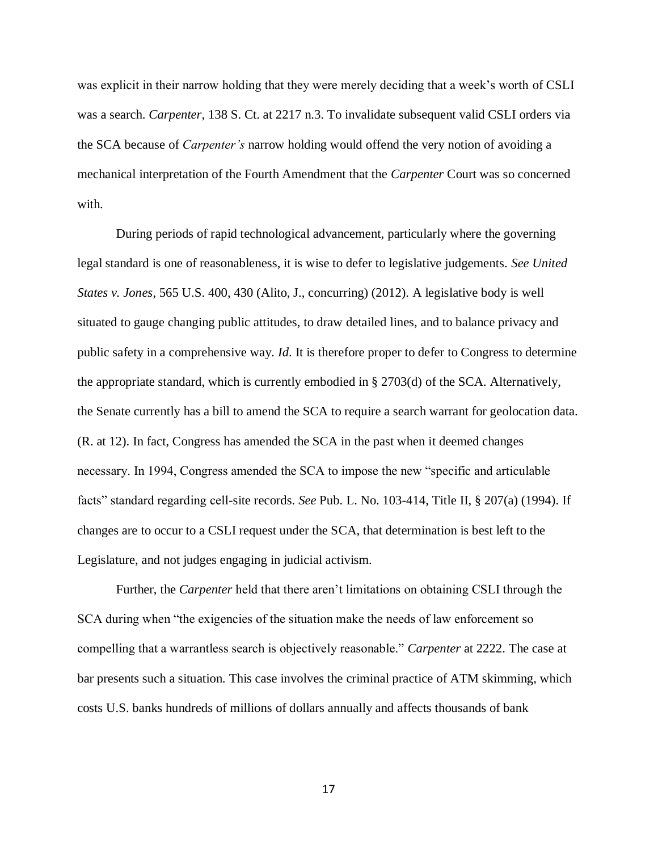was explicit in their narrow holding that they were merely deciding that a week's worth of CSLI was a search. *Carpenter*, 138 S. Ct. at 2217 n.3. To invalidate subsequent valid CSLI orders via the SCA because of *Carpenter's* narrow holding would offend the very notion of avoiding a mechanical interpretation of the Fourth Amendment that the *Carpenter* Court was so concerned with.

During periods of rapid technological advancement, particularly where the governing legal standard is one of reasonableness, it is wise to defer to legislative judgements. *See United States v. Jones*, 565 U.S. 400, 430 (Alito, J., concurring) (2012). A legislative body is well situated to gauge changing public attitudes, to draw detailed lines, and to balance privacy and public safety in a comprehensive way. *Id*. It is therefore proper to defer to Congress to determine the appropriate standard, which is currently embodied in § 2703(d) of the SCA. Alternatively, the Senate currently has a bill to amend the SCA to require a search warrant for geolocation data. (R. at 12). In fact, Congress has amended the SCA in the past when it deemed changes necessary. In 1994, Congress amended the SCA to impose the new "specific and articulable facts" standard regarding cell-site records. *See* Pub. L. No. 103-414, Title II, § 207(a) (1994). If changes are to occur to a CSLI request under the SCA, that determination is best left to the Legislature, and not judges engaging in judicial activism.

Further, the *Carpenter* held that there aren't limitations on obtaining CSLI through the SCA during when "the exigencies of the situation make the needs of law enforcement so compelling that a warrantless search is objectively reasonable." *Carpenter* at 2222. The case at bar presents such a situation. This case involves the criminal practice of ATM skimming, which costs U.S. banks hundreds of millions of dollars annually and affects thousands of bank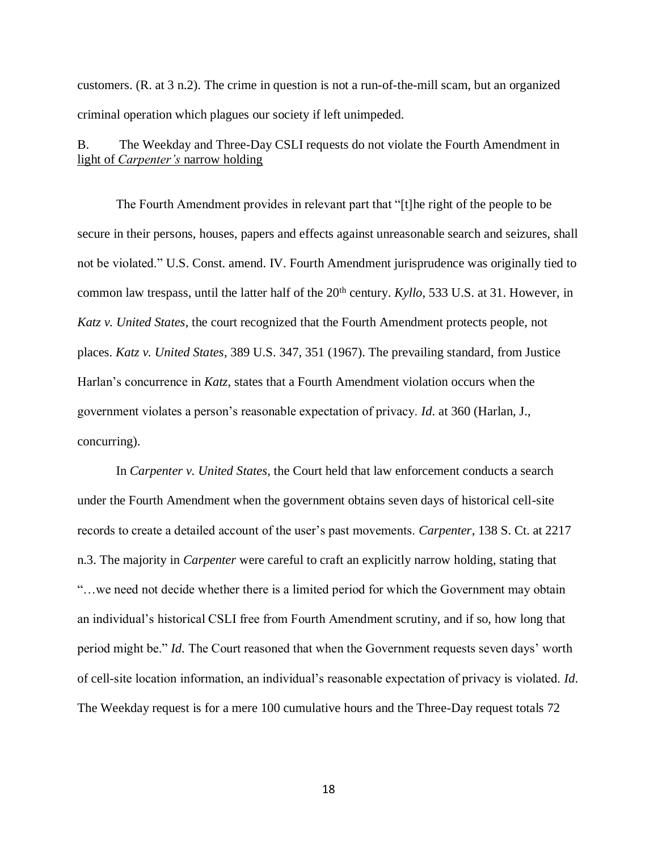customers. (R. at 3 n.2). The crime in question is not a run-of-the-mill scam, but an organized criminal operation which plagues our society if left unimpeded.

B. The Weekday and Three-Day CSLI requests do not violate the Fourth Amendment in light of *Carpenter's* narrow holding

The Fourth Amendment provides in relevant part that "[t]he right of the people to be secure in their persons, houses, papers and effects against unreasonable search and seizures, shall not be violated." U.S. Const. amend. IV. Fourth Amendment jurisprudence was originally tied to common law trespass, until the latter half of the 20<sup>th</sup> century. *Kyllo*, 533 U.S. at 31. However, in *Katz v. United States*, the court recognized that the Fourth Amendment protects people, not places. *Katz v. United States*, 389 U.S. 347, 351 (1967). The prevailing standard, from Justice Harlan's concurrence in *Katz*, states that a Fourth Amendment violation occurs when the government violates a person's reasonable expectation of privacy. *Id*. at 360 (Harlan, J., concurring).

In *Carpenter v. United States*, the Court held that law enforcement conducts a search under the Fourth Amendment when the government obtains seven days of historical cell-site records to create a detailed account of the user's past movements. *Carpenter*, 138 S. Ct. at 2217 n.3. The majority in *Carpenter* were careful to craft an explicitly narrow holding, stating that "…we need not decide whether there is a limited period for which the Government may obtain an individual's historical CSLI free from Fourth Amendment scrutiny, and if so, how long that period might be." *Id*. The Court reasoned that when the Government requests seven days' worth of cell-site location information, an individual's reasonable expectation of privacy is violated. *Id*. The Weekday request is for a mere 100 cumulative hours and the Three-Day request totals 72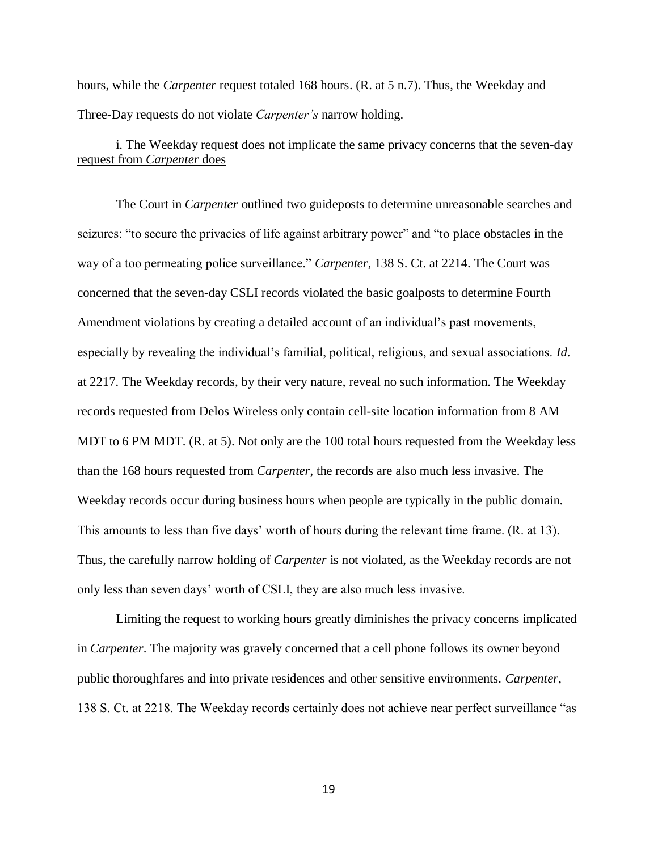hours, while the *Carpenter* request totaled 168 hours. (R. at 5 n.7). Thus, the Weekday and Three-Day requests do not violate *Carpenter's* narrow holding.

i. The Weekday request does not implicate the same privacy concerns that the seven-day request from *Carpenter* does

The Court in *Carpenter* outlined two guideposts to determine unreasonable searches and seizures: "to secure the privacies of life against arbitrary power" and "to place obstacles in the way of a too permeating police surveillance." *Carpenter*, 138 S. Ct. at 2214. The Court was concerned that the seven-day CSLI records violated the basic goalposts to determine Fourth Amendment violations by creating a detailed account of an individual's past movements, especially by revealing the individual's familial, political, religious, and sexual associations. *Id*. at 2217. The Weekday records, by their very nature, reveal no such information. The Weekday records requested from Delos Wireless only contain cell-site location information from 8 AM MDT to 6 PM MDT. (R. at 5). Not only are the 100 total hours requested from the Weekday less than the 168 hours requested from *Carpenter*, the records are also much less invasive. The Weekday records occur during business hours when people are typically in the public domain. This amounts to less than five days' worth of hours during the relevant time frame. (R. at 13). Thus, the carefully narrow holding of *Carpenter* is not violated, as the Weekday records are not only less than seven days' worth of CSLI, they are also much less invasive.

Limiting the request to working hours greatly diminishes the privacy concerns implicated in *Carpenter*. The majority was gravely concerned that a cell phone follows its owner beyond public thoroughfares and into private residences and other sensitive environments. *Carpenter*, 138 S. Ct. at 2218. The Weekday records certainly does not achieve near perfect surveillance "as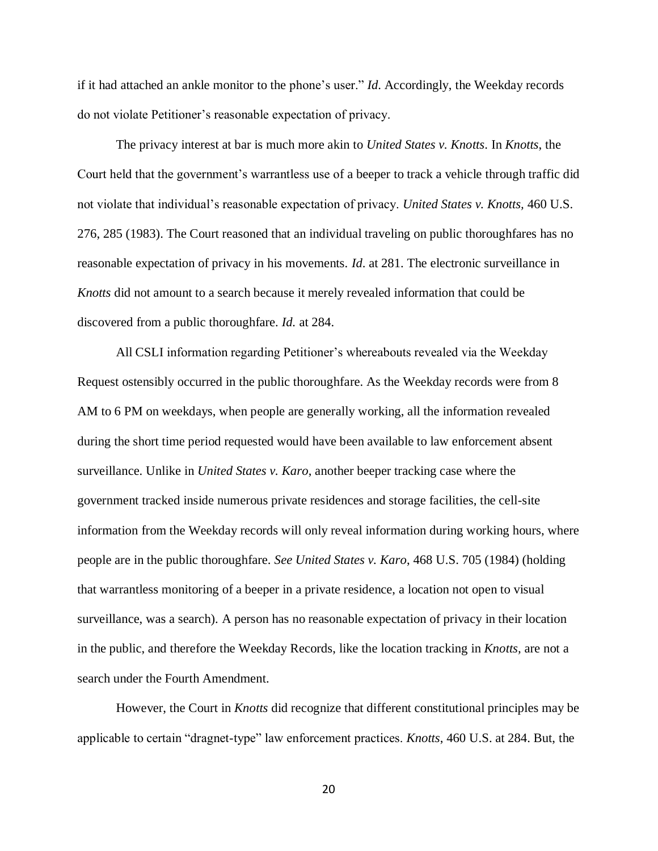if it had attached an ankle monitor to the phone's user." *Id*. Accordingly, the Weekday records do not violate Petitioner's reasonable expectation of privacy.

The privacy interest at bar is much more akin to *United States v. Knotts*. In *Knotts*, the Court held that the government's warrantless use of a beeper to track a vehicle through traffic did not violate that individual's reasonable expectation of privacy. *United States v. Knotts,* 460 U.S. 276, 285 (1983). The Court reasoned that an individual traveling on public thoroughfares has no reasonable expectation of privacy in his movements. *Id*. at 281. The electronic surveillance in *Knotts* did not amount to a search because it merely revealed information that could be discovered from a public thoroughfare. *Id.* at 284.

All CSLI information regarding Petitioner's whereabouts revealed via the Weekday Request ostensibly occurred in the public thoroughfare. As the Weekday records were from 8 AM to 6 PM on weekdays, when people are generally working, all the information revealed during the short time period requested would have been available to law enforcement absent surveillance. Unlike in *United States v. Karo*, another beeper tracking case where the government tracked inside numerous private residences and storage facilities, the cell-site information from the Weekday records will only reveal information during working hours, where people are in the public thoroughfare. *See United States v. Karo*, 468 U.S. 705 (1984) (holding that warrantless monitoring of a beeper in a private residence, a location not open to visual surveillance, was a search). A person has no reasonable expectation of privacy in their location in the public, and therefore the Weekday Records, like the location tracking in *Knotts,* are not a search under the Fourth Amendment.

However, the Court in *Knotts* did recognize that different constitutional principles may be applicable to certain "dragnet-type" law enforcement practices. *Knotts*, 460 U.S. at 284. But, the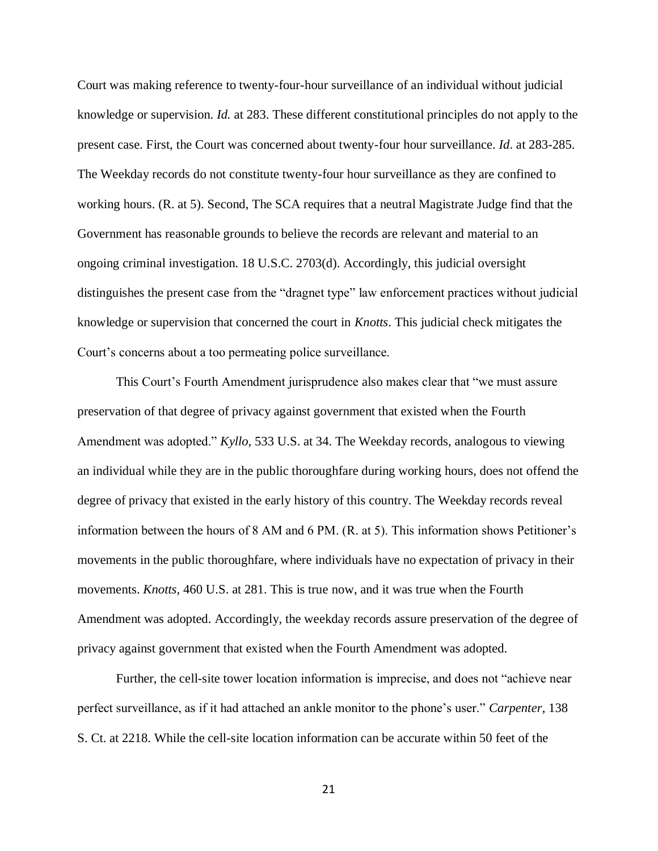Court was making reference to twenty-four-hour surveillance of an individual without judicial knowledge or supervision. *Id.* at 283. These different constitutional principles do not apply to the present case. First, the Court was concerned about twenty-four hour surveillance. *Id*. at 283-285. The Weekday records do not constitute twenty-four hour surveillance as they are confined to working hours. (R. at 5). Second, The SCA requires that a neutral Magistrate Judge find that the Government has reasonable grounds to believe the records are relevant and material to an ongoing criminal investigation. 18 U.S.C. 2703(d). Accordingly, this judicial oversight distinguishes the present case from the "dragnet type" law enforcement practices without judicial knowledge or supervision that concerned the court in *Knotts*. This judicial check mitigates the Court's concerns about a too permeating police surveillance.

This Court's Fourth Amendment jurisprudence also makes clear that "we must assure preservation of that degree of privacy against government that existed when the Fourth Amendment was adopted." *Kyllo*, 533 U.S. at 34. The Weekday records, analogous to viewing an individual while they are in the public thoroughfare during working hours, does not offend the degree of privacy that existed in the early history of this country. The Weekday records reveal information between the hours of 8 AM and 6 PM. (R. at 5). This information shows Petitioner's movements in the public thoroughfare, where individuals have no expectation of privacy in their movements. *Knotts,* 460 U.S. at 281. This is true now, and it was true when the Fourth Amendment was adopted. Accordingly, the weekday records assure preservation of the degree of privacy against government that existed when the Fourth Amendment was adopted.

Further, the cell-site tower location information is imprecise, and does not "achieve near perfect surveillance, as if it had attached an ankle monitor to the phone's user." *Carpenter*, 138 S. Ct. at 2218. While the cell-site location information can be accurate within 50 feet of the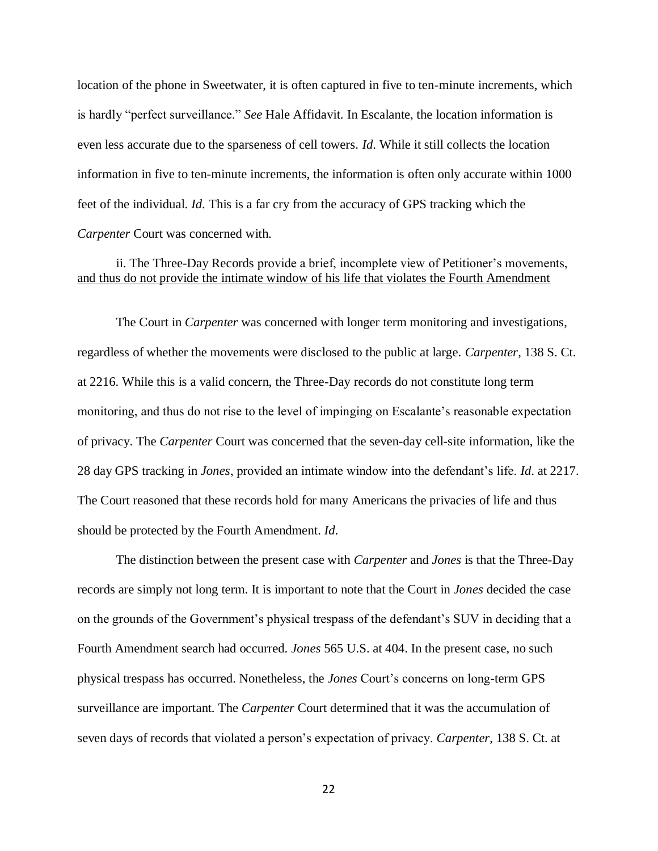location of the phone in Sweetwater, it is often captured in five to ten-minute increments, which is hardly "perfect surveillance." *See* Hale Affidavit. In Escalante, the location information is even less accurate due to the sparseness of cell towers. *Id*. While it still collects the location information in five to ten-minute increments, the information is often only accurate within 1000 feet of the individual. *Id*. This is a far cry from the accuracy of GPS tracking which the *Carpenter* Court was concerned with.

ii. The Three-Day Records provide a brief, incomplete view of Petitioner's movements, and thus do not provide the intimate window of his life that violates the Fourth Amendment

The Court in *Carpenter* was concerned with longer term monitoring and investigations, regardless of whether the movements were disclosed to the public at large. *Carpenter*, 138 S. Ct. at 2216. While this is a valid concern, the Three-Day records do not constitute long term monitoring, and thus do not rise to the level of impinging on Escalante's reasonable expectation of privacy. The *Carpenter* Court was concerned that the seven-day cell-site information, like the 28 day GPS tracking in *Jones*, provided an intimate window into the defendant's life. *Id*. at 2217. The Court reasoned that these records hold for many Americans the privacies of life and thus should be protected by the Fourth Amendment. *Id*.

The distinction between the present case with *Carpenter* and *Jones* is that the Three-Day records are simply not long term. It is important to note that the Court in *Jones* decided the case on the grounds of the Government's physical trespass of the defendant's SUV in deciding that a Fourth Amendment search had occurred. *Jones* 565 U.S. at 404. In the present case, no such physical trespass has occurred. Nonetheless, the *Jones* Court's concerns on long-term GPS surveillance are important. The *Carpenter* Court determined that it was the accumulation of seven days of records that violated a person's expectation of privacy. *Carpenter*, 138 S. Ct. at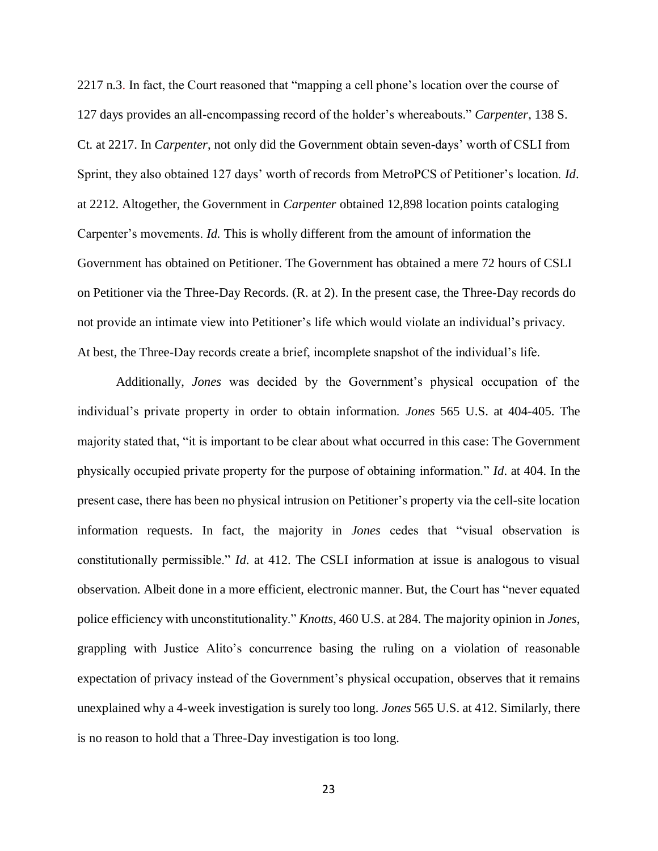2217 n.3. In fact, the Court reasoned that "mapping a cell phone's location over the course of 127 days provides an all-encompassing record of the holder's whereabouts." *Carpenter*, 138 S. Ct. at 2217. In *Carpenter*, not only did the Government obtain seven-days' worth of CSLI from Sprint, they also obtained 127 days' worth of records from MetroPCS of Petitioner's location. *Id*. at 2212. Altogether, the Government in *Carpenter* obtained 12,898 location points cataloging Carpenter's movements. *Id.* This is wholly different from the amount of information the Government has obtained on Petitioner. The Government has obtained a mere 72 hours of CSLI on Petitioner via the Three-Day Records. (R. at 2). In the present case, the Three-Day records do not provide an intimate view into Petitioner's life which would violate an individual's privacy. At best, the Three-Day records create a brief, incomplete snapshot of the individual's life.

Additionally, *Jones* was decided by the Government's physical occupation of the individual's private property in order to obtain information. *Jones* 565 U.S. at 404-405. The majority stated that, "it is important to be clear about what occurred in this case: The Government physically occupied private property for the purpose of obtaining information." *Id*. at 404. In the present case, there has been no physical intrusion on Petitioner's property via the cell-site location information requests. In fact, the majority in *Jones* cedes that "visual observation is constitutionally permissible." *Id*. at 412. The CSLI information at issue is analogous to visual observation. Albeit done in a more efficient, electronic manner. But, the Court has "never equated police efficiency with unconstitutionality." *Knotts*, 460 U.S. at 284. The majority opinion in *Jones*, grappling with Justice Alito's concurrence basing the ruling on a violation of reasonable expectation of privacy instead of the Government's physical occupation, observes that it remains unexplained why a 4-week investigation is surely too long. *Jones* 565 U.S. at 412. Similarly, there is no reason to hold that a Three-Day investigation is too long.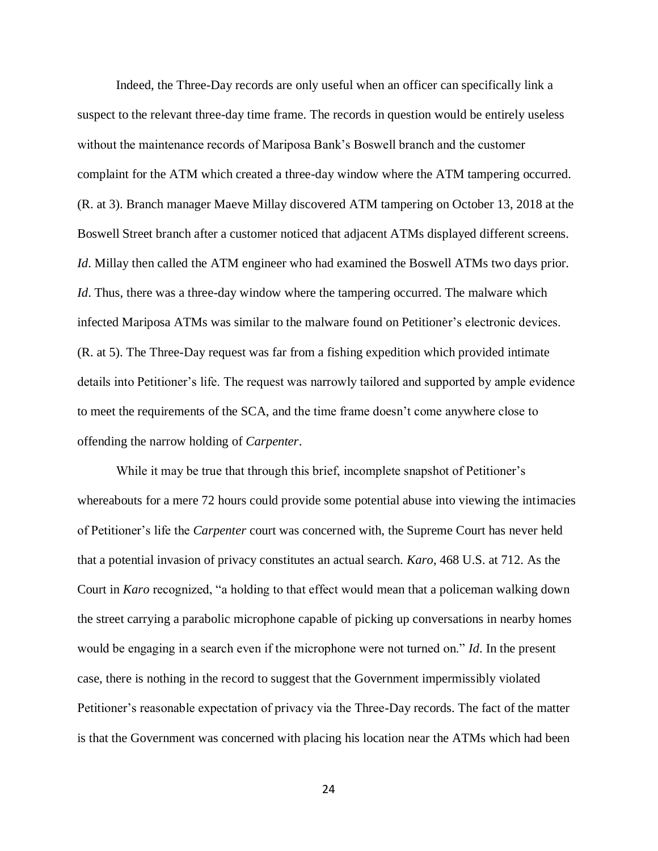Indeed, the Three-Day records are only useful when an officer can specifically link a suspect to the relevant three-day time frame. The records in question would be entirely useless without the maintenance records of Mariposa Bank's Boswell branch and the customer complaint for the ATM which created a three-day window where the ATM tampering occurred. (R. at 3). Branch manager Maeve Millay discovered ATM tampering on October 13, 2018 at the Boswell Street branch after a customer noticed that adjacent ATMs displayed different screens. *Id*. Millay then called the ATM engineer who had examined the Boswell ATMs two days prior. *Id*. Thus, there was a three-day window where the tampering occurred. The malware which infected Mariposa ATMs was similar to the malware found on Petitioner's electronic devices. (R. at 5). The Three-Day request was far from a fishing expedition which provided intimate details into Petitioner's life. The request was narrowly tailored and supported by ample evidence to meet the requirements of the SCA, and the time frame doesn't come anywhere close to offending the narrow holding of *Carpenter*.

While it may be true that through this brief, incomplete snapshot of Petitioner's whereabouts for a mere 72 hours could provide some potential abuse into viewing the intimacies of Petitioner's life the *Carpenter* court was concerned with, the Supreme Court has never held that a potential invasion of privacy constitutes an actual search. *Karo*, 468 U.S. at 712. As the Court in *Karo* recognized, "a holding to that effect would mean that a policeman walking down the street carrying a parabolic microphone capable of picking up conversations in nearby homes would be engaging in a search even if the microphone were not turned on." *Id*. In the present case, there is nothing in the record to suggest that the Government impermissibly violated Petitioner's reasonable expectation of privacy via the Three-Day records. The fact of the matter is that the Government was concerned with placing his location near the ATMs which had been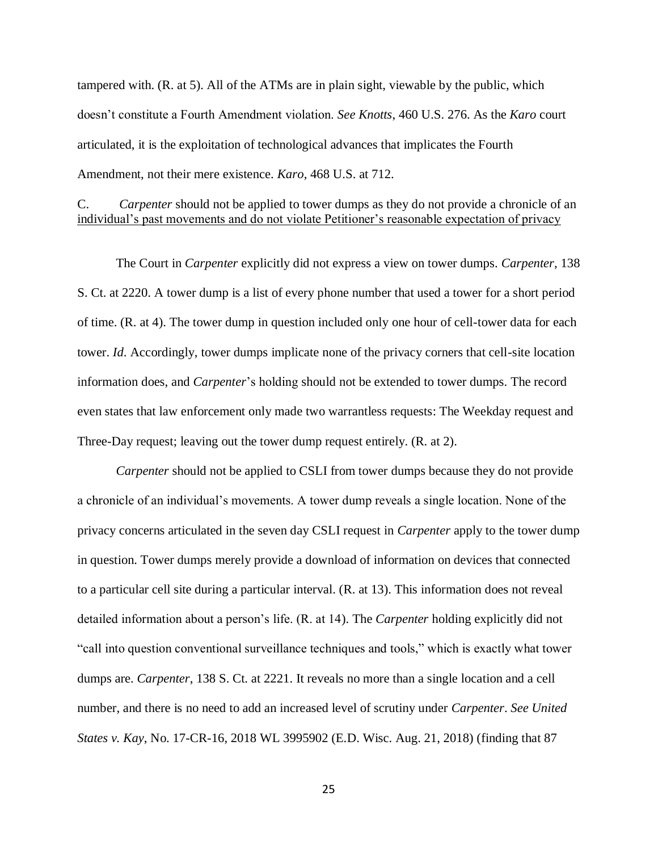tampered with. (R. at 5). All of the ATMs are in plain sight, viewable by the public, which doesn't constitute a Fourth Amendment violation. *See Knotts*, 460 U.S. 276. As the *Karo* court articulated, it is the exploitation of technological advances that implicates the Fourth Amendment, not their mere existence. *Karo*, 468 U.S. at 712.

### C. *Carpenter* should not be applied to tower dumps as they do not provide a chronicle of an individual's past movements and do not violate Petitioner's reasonable expectation of privacy

The Court in *Carpenter* explicitly did not express a view on tower dumps. *Carpenter*, 138 S. Ct. at 2220. A tower dump is a list of every phone number that used a tower for a short period of time. (R. at 4). The tower dump in question included only one hour of cell-tower data for each tower. *Id*. Accordingly, tower dumps implicate none of the privacy corners that cell-site location information does, and *Carpenter*'s holding should not be extended to tower dumps. The record even states that law enforcement only made two warrantless requests: The Weekday request and Three-Day request; leaving out the tower dump request entirely. (R. at 2).

*Carpenter* should not be applied to CSLI from tower dumps because they do not provide a chronicle of an individual's movements. A tower dump reveals a single location. None of the privacy concerns articulated in the seven day CSLI request in *Carpenter* apply to the tower dump in question. Tower dumps merely provide a download of information on devices that connected to a particular cell site during a particular interval. (R. at 13). This information does not reveal detailed information about a person's life. (R. at 14). The *Carpenter* holding explicitly did not "call into question conventional surveillance techniques and tools," which is exactly what tower dumps are. *Carpenter*, 138 S. Ct. at 2221. It reveals no more than a single location and a cell number, and there is no need to add an increased level of scrutiny under *Carpenter*. *See United States v. Kay*, No. 17-CR-16, 2018 WL 3995902 (E.D. Wisc. Aug. 21, 2018) (finding that 87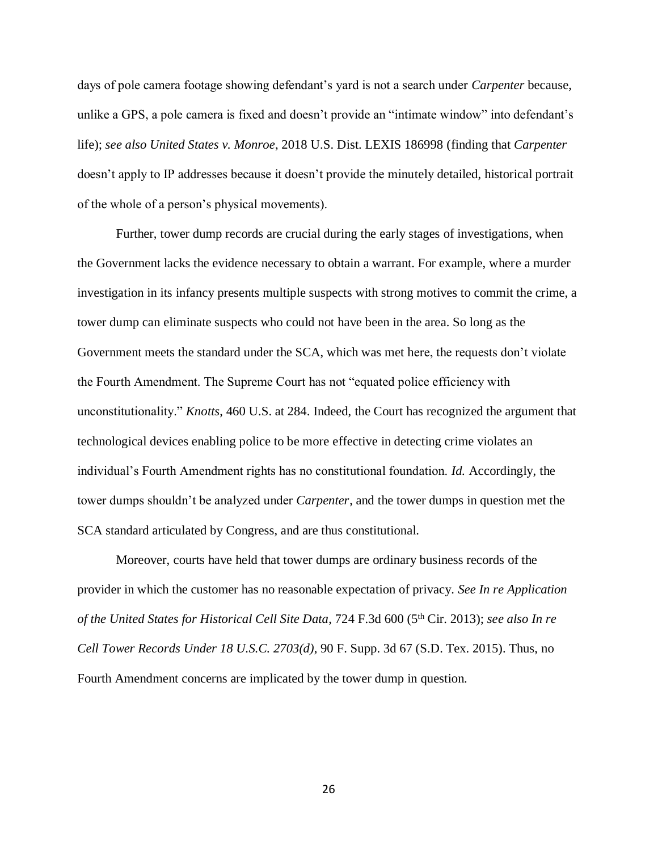days of pole camera footage showing defendant's yard is not a search under *Carpenter* because, unlike a GPS, a pole camera is fixed and doesn't provide an "intimate window" into defendant's life); *see also United States v. Monroe*, 2018 U.S. Dist. LEXIS 186998 (finding that *Carpenter* doesn't apply to IP addresses because it doesn't provide the minutely detailed, historical portrait of the whole of a person's physical movements).

Further, tower dump records are crucial during the early stages of investigations, when the Government lacks the evidence necessary to obtain a warrant. For example, where a murder investigation in its infancy presents multiple suspects with strong motives to commit the crime, a tower dump can eliminate suspects who could not have been in the area. So long as the Government meets the standard under the SCA, which was met here, the requests don't violate the Fourth Amendment. The Supreme Court has not "equated police efficiency with unconstitutionality." *Knotts*, 460 U.S. at 284. Indeed, the Court has recognized the argument that technological devices enabling police to be more effective in detecting crime violates an individual's Fourth Amendment rights has no constitutional foundation. *Id.* Accordingly, the tower dumps shouldn't be analyzed under *Carpenter*, and the tower dumps in question met the SCA standard articulated by Congress, and are thus constitutional.

Moreover, courts have held that tower dumps are ordinary business records of the provider in which the customer has no reasonable expectation of privacy. *See In re Application of the United States for Historical Cell Site Data*, 724 F.3d 600 (5th Cir. 2013); *see also In re Cell Tower Records Under 18 U.S.C. 2703(d)*, 90 F. Supp. 3d 67 (S.D. Tex. 2015). Thus, no Fourth Amendment concerns are implicated by the tower dump in question.